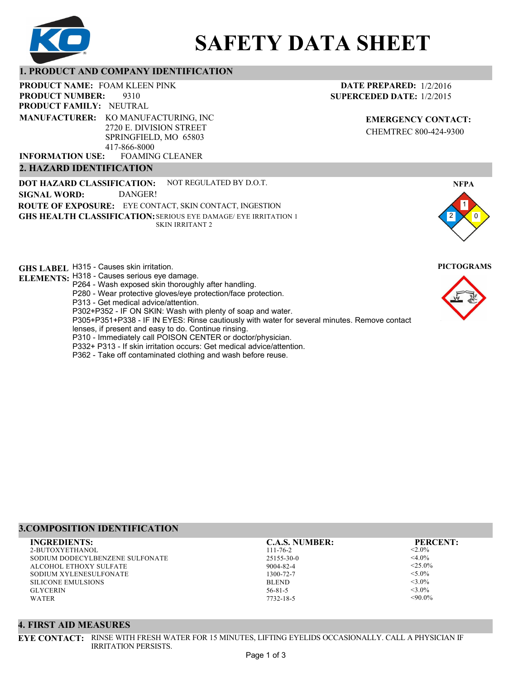

# **SAFETY DATA SHEET**

## **1. PRODUCT AND COMPANY IDENTIFICATION**

PRODUCT NAME: FOAM KLEEN PINK

9310 **PRODUCT FAMILY: NEUTRAL PRODUCT NUMBER: MANUFACTURER:** KO MANUFACTURING, INC

2720 E. DIVISION STREET SPRINGFIELD, MO 65803 417-866-8000

FOAMING CLEANER **INFORMATION USE:**

## **2. HAZARD IDENTIFICATION**

**DOT HAZARD CLASSIFICATION: GHS HEALTH CLASSIFICATION:** SERIOUS EYE DAMAGE/ EYE IRRITATION 1 **ROUTE OF EXPOSURE:** EYE CONTACT, SKIN CONTACT, INGESTION NOT REGULATED BY D.O.T. SKIN IRRITANT 2 **SIGNAL WORD:** DANGER!

**GHS LABEL**  H315 - Causes skin irritation. **PICTOGRAMS**

- **ELEMENTS:** H318 Causes serious eye damage. P264 - Wash exposed skin thoroughly after handling.
	- P280 Wear protective gloves/eye protection/face protection.

P313 - Get medical advice/attention.

P302+P352 - IF ON SKIN: Wash with plenty of soap and water.

P305+P351+P338 - IF IN EYES: Rinse cautiously with water for several minutes. Remove contact

- lenses, if present and easy to do. Continue rinsing.
- P310 Immediately call POISON CENTER or doctor/physician.
- P332+ P313 If skin irritation occurs: Get medical advice/attention.
- P362 Take off contaminated clothing and wash before reuse.

# **3.COMPOSITION IDENTIFICATION**

2-BUTOXYETHANOL SODIUM DODECYLBENZENE SULFONATE ALCOHOL ETHOXY SULFATE SODIUM XYLENESULFONATE SILICONE EMULSIONS GLYCERIN WATER **INGREDIENTS: C.A.S. NUMBER: PERCENT:**

111-76-2 25155-30-0 9004-82-4 1300-72-7 BLEND 56-81-5

 $< 2.0\%$  $<$ 4.0%  $<$ 25.0%  $<$ 5.0%  $<$ 3.0%  $<$ 3.0%  $<90.0\%$ 

## **4. FIRST AID MEASURES**

**EYE CONTACT:** RINSE WITH FRESH WATER FOR 15 MINUTES, LIFTING EYELIDS OCCASIONALLY. CALL A PHYSICIAN IF IRRITATION PERSISTS.

**DATE PREPARED:** 1/2/2016 **SUPERCEDED DATE:** 1/2/2015

> **EMERGENCY CONTACT:** CHEMTREC 800-424-9300



1

**NFPA**



7732-18-5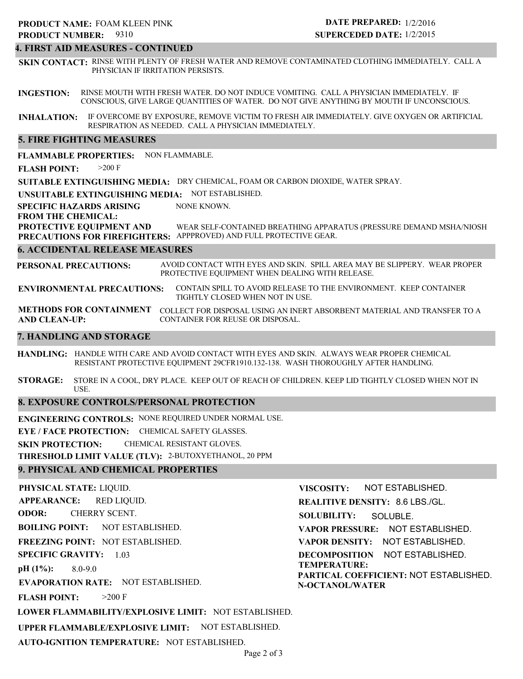## **4. FIRST AID MEASURES - CONTINUED**

**SKIN CONTACT:** RINSE WITH PLENTY OF FRESH WATER AND REMOVE CONTAMINATED CLOTHING IMMEDIATELY. CALL A PHYSICIAN IF IRRITATION PERSISTS.

**INGESTION:** RINSE MOUTH WITH FRESH WATER. DO NOT INDUCE VOMITING. CALL A PHYSICIAN IMMEDIATELY. IF CONSCIOUS, GIVE LARGE QUANTITIES OF WATER. DO NOT GIVE ANYTHING BY MOUTH IF UNCONSCIOUS.

**INHALATION:** IF OVERCOME BY EXPOSURE, REMOVE VICTIM TO FRESH AIR IMMEDIATELY. GIVE OXYGEN OR ARTIFICIAL RESPIRATION AS NEEDED. CALL A PHYSICIAN IMMEDIATELY.

## **5. FIRE FIGHTING MEASURES**

**FLAMMABLE PROPERTIES:** NON FLAMMABLE.

**FLASH POINT:** >200 F

**SUITABLE EXTINGUISHING MEDIA:** DRY CHEMICAL, FOAM OR CARBON DIOXIDE, WATER SPRAY.

**UNSUITABLE EXTINGUISHING MEDIA:** NOT ESTABLISHED.

**SPECIFIC HAZARDS ARISING** NONE KNOWN.

#### **FROM THE CHEMICAL:**

**PROTECTIVE EQUIPMENT AND PRECAUTIONS FOR FIREFIGHTERS:** APPPROVED) AND FULL PROTECTIVE GEAR. WEAR SELF-CONTAINED BREATHING APPARATUS (PRESSURE DEMAND MSHA/NIOSH

#### **6. ACCIDENTAL RELEASE MEASURES**

**PERSONAL PRECAUTIONS:** AVOID CONTACT WITH EYES AND SKIN. SPILL AREA MAY BE SLIPPERY. WEAR PROPER PROTECTIVE EQUIPMENT WHEN DEALING WITH RELEASE.

**ENVIRONMENTAL PRECAUTIONS:** CONTAIN SPILL TO AVOID RELEASE TO THE ENVIRONMENT. KEEP CONTAINER TIGHTLY CLOSED WHEN NOT IN USE.

**METHODS FOR CONTAINMENT** COLLECT FOR DISPOSAL USING AN INERT ABSORBENT MATERIAL AND TRANSFER TO A **AND CLEAN-UP:** CONTAINER FOR REUSE OR DISPOSAL.

## **7. HANDLING AND STORAGE**

**HANDLING:** HANDLE WITH CARE AND AVOID CONTACT WITH EYES AND SKIN. ALWAYS WEAR PROPER CHEMICAL RESISTANT PROTECTIVE EQUIPMENT 29CFR1910.132-138. WASH THOROUGHLY AFTER HANDLING.

**STORAGE:** STORE IN A COOL, DRY PLACE. KEEP OUT OF REACH OF CHILDREN. KEEP LID TIGHTLY CLOSED WHEN NOT IN USE.

## **8. EXPOSURE CONTROLS/PERSONAL PROTECTION**

**ENGINEERING CONTROLS:** NONE REQUIRED UNDER NORMAL USE.

**EYE / FACE PROTECTION:** CHEMICAL SAFETY GLASSES.

**SKIN PROTECTION:** CHEMICAL RESISTANT GLOVES.

**THRESHOLD LIMIT VALUE (TLV):** 2-BUTOXYETHANOL, 20 PPM

## **9. PHYSICAL AND CHEMICAL PROPERTIES**

**PHYSICAL STATE:** LIQUID. **APPEARANCE: ODOR: BOILING POINT:** NOT ESTABLISHED. **FREEZING POINT:** NOT ESTABLISHED. **SPECIFIC GRAVITY:** 1.03 **pH (1%): EVAPORATION RATE:** NOT ESTABLISHED. **FLASH POINT: LOWER FLAMMABILITY/EXPLOSIVE LIMIT:** NOT ESTABLISHED. **UPPER FLAMMABLE/EXPLOSIVE LIMIT:** NOT ESTABLISHED. 8.0-9.0  $>200$  F RED LIQUID. CHERRY SCENT. **VISCOSITY: REALITIVE DENSITY:** 8.6 LBS./GL. **SOLUBILITY: VAPOR PRESSURE:** NOT ESTABLISHED. **VAPOR DENSITY:** NOT ESTABLISHED. **DECOMPOSITION** NOT ESTABLISHED. **TEMPERATURE: PARTICAL COEFFICIENT:** NOT ESTABLISHED. **N-OCTANOL/WATER** NOT ESTABLISHED. SOLUBLE.

**AUTO-IGNITION TEMPERATURE:** NOT ESTABLISHED.